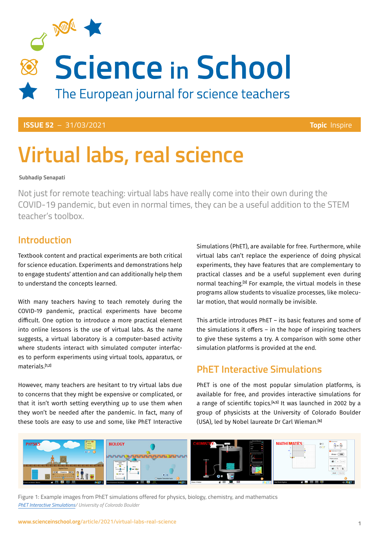

**ISSUE 52** – 31/03/2021 **Topic** Inspire

# **Virtual labs, real science**

#### **Subhadip Senapati**

Not just for remote teaching: virtual labs have really come into their own during the COVID-19 pandemic, but even in normal times, they can be a useful addition to the STEM teacher's toolbox.

### **Introduction**

Textbook content and practical experiments are both critical for science education. Experiments and demonstrations help to engage students' attention and can additionally help them to understand the concepts learned.

With many teachers having to teach remotely during the COVID-19 pandemic, practical experiments have become difficult. One option to introduce a more practical element into online lessons is the use of virtual labs. As the name suggests, a virtual laboratory is a computer-based activity where students interact with simulated computer interfaces to perform experiments using virtual tools, apparatus, or materials.<sup>[1,2]</sup>

However, many teachers are hesitant to try virtual labs due to concerns that they might be expensive or complicated, or that it isn't worth setting everything up to use them when they won't be needed after the pandemic. In fact, many of these tools are easy to use and some, like PhET Interactive

Simulations (PhET), are available for free. Furthermore, while virtual labs can't replace the experience of doing physical experiments, they have features that are complementary to practical classes and be a useful supplement even during normal teaching.<sup>[3]</sup> For example, the virtual models in these programs allow students to visualize processes, like molecular motion, that would normally be invisible.

This article introduces PhET – its basic features and some of the simulations it offers – in the hope of inspiring teachers to give these systems a try. A comparison with some other simulation platforms is provided at the end.

### **PhET Interactive Simulations**

PhET is one of the most popular simulation platforms, is available for free, and provides interactive simulations for a range of scientific topics.[4,5] It was launched in 2002 by a group of physicists at the University of Colorado Boulder (USA), led by Nobel laureate Dr Carl Wieman.[6]



Figure 1: Example images from PhET simulations offered for physics, biology, chemistry, and mathematics *[PhET Interactive Simulations](http://phet.colorado.edu/)/ University of Colorado Boulder*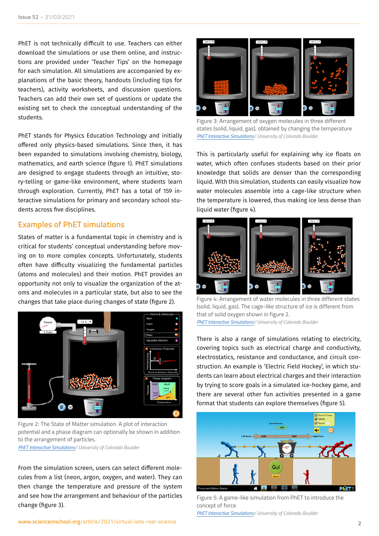PhET is not technically difficult to use. Teachers can either download the simulations or use them online, and instructions are provided under 'Teacher Tips' on the homepage for each simulation. All simulations are accompanied by explanations of the basic theory, handouts (including tips for teachers), activity worksheets, and discussion questions. Teachers can add their own set of questions or update the existing set to check the conceptual understanding of the students.

PhET stands for Physics Education Technology and initially offered only physics-based simulations. Since then, it has been expanded to simulations involving chemistry, biology, mathematics, and earth science (figure 1). PhET simulations are designed to engage students through an intuitive, story-telling or game-like environment, where students learn through exploration. Currently, PhET has a total of 159 interactive simulations for primary and secondary school students across five disciplines.

#### **Examples of PhET simulations**

States of matter is a fundamental topic in chemistry and is critical for students' conceptual understanding before moving on to more complex concepts. Unfortunately, students often have difficulty visualizing the fundamental particles (atoms and molecules) and their motion. PhET provides an opportunity not only to visualize the organization of the atoms and molecules in a particular state, but also to see the changes that take place during changes of state (figure 2).



Figure 2: The State of Matter simulation. A plot of interaction potential and a phase diagram can optionally be shown in addition to the arrangement of particles.

*[PhET Interactive Simulations](http://phet.colorado.edu/)/ University of Colorado Boulder*

From the simulation screen, users can select different molecules from a list (neon, argon, oxygen, and water). They can then change the temperature and pressure of the system and see how the arrangement and behaviour of the particles change (figure 3).



Figure 3: Arrangement of oxygen molecules in three different states (solid, liquid, gas), obtained by changing the temperature *[PhET Interactive Simulations/](http://phet.colorado.edu/) University of Colorado Boulder*

This is particularly useful for explaining why ice floats on water, which often confuses students based on their prior knowledge that solids are denser than the corresponding liquid. With this simulation, students can easily visualize how water molecules assemble into a cage-like structure when the temperature is lowered, thus making ice less dense than liquid water (figure 4).



Figure 4: Arrangement of water molecules in three different states (solid, liquid, gas). The cage-like structure of ice is different from that of solid oxygen shown in figure 2. *[PhET Interactive Simulations/](http://phet.colorado.edu/) University of Colorado Boulder*

There is also a range of simulations relating to electricity, covering topics such as electrical charge and conductivity, electrostatics, resistance and conductance, and circuit construction. An example is 'Electric Field Hockey', in which students can learn about electrical charges and their interaction by trying to score goals in a simulated ice-hockey game, and there are several other fun activities presented in a game format that students can explore themselves (figure 5).



Figure 5: A game-like simulation from PhET to introduce the concept of force

*[PhET Interactive Simulations/](http://phet.colorado.edu/) University of Colorado Boulder*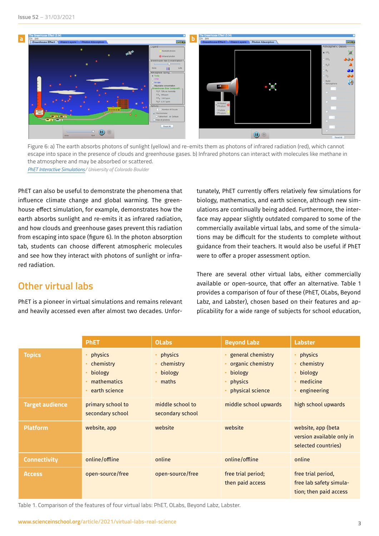

Figure 6: a) The earth absorbs photons of sunlight (yellow) and re-emits them as photons of infrared radiation (red), which cannot escape into space in the presence of clouds and greenhouse gases. b) Infrared photons can interact with molecules like methane in the atmosphere and may be absorbed or scattered.

*[PhET Interactive Simulations](http://phet.colorado.edu/)/ University of Colorado Boulder*

PhET can also be useful to demonstrate the phenomena that influence climate change and global warming. The greenhouse effect simulation, for example, demonstrates how the earth absorbs sunlight and re-emits it as infrared radiation, and how clouds and greenhouse gases prevent this radiation from escaping into space (figure 6). In the photon absorption tab, students can choose different atmospheric molecules and see how they interact with photons of sunlight or infrared radiation.

## **Other virtual labs**

PhET is a pioneer in virtual simulations and remains relevant and heavily accessed even after almost two decades. Unfortunately, PhET currently offers relatively few simulations for biology, mathematics, and earth science, although new simulations are continually being added. Furthermore, the interface may appear slightly outdated compared to some of the commercially available virtual labs, and some of the simulations may be difficult for the students to complete without guidance from their teachers. It would also be useful if PhET were to offer a proper assessment option.

There are several other virtual labs, either commercially available or open-source, that offer an alternative. Table 1 provides a comparison of four of these (PhET, OLabs, Beyond Labz, and Labster), chosen based on their features and applicability for a wide range of subjects for school education,

|                        | <b>PhET</b>                                                     | <b>OLabs</b>                                         | <b>Beyond Labz</b>                                                                                | <b>Labster</b>                                                          |
|------------------------|-----------------------------------------------------------------|------------------------------------------------------|---------------------------------------------------------------------------------------------------|-------------------------------------------------------------------------|
| <b>Topics</b>          | physics<br>chemistry<br>biology<br>mathematics<br>earth science | • physics<br>• chemistry<br>biology<br>$\cdot$ maths | • general chemistry<br>• organic chemistry<br>biology<br>$\bullet$<br>physics<br>physical science | physics<br>chemistry<br>biology<br>medicine<br>engineering              |
| <b>Target audience</b> | primary school to<br>secondary school                           | middle school to<br>secondary school                 | middle school upwards                                                                             | high school upwards                                                     |
| <b>Platform</b>        | website, app                                                    | website                                              | website                                                                                           | website, app (beta<br>version available only in<br>selected countries)  |
| <b>Connectivity</b>    | online/offline                                                  | online                                               | online/offline                                                                                    | online                                                                  |
| <b>Access</b>          | open-source/free                                                | open-source/free                                     | free trial period;<br>then paid access                                                            | free trial period,<br>free lab safety simula-<br>tion; then paid access |

Table 1. Comparison of the features of four virtual labs: PhET, OLabs, Beyond Labz, Labster.